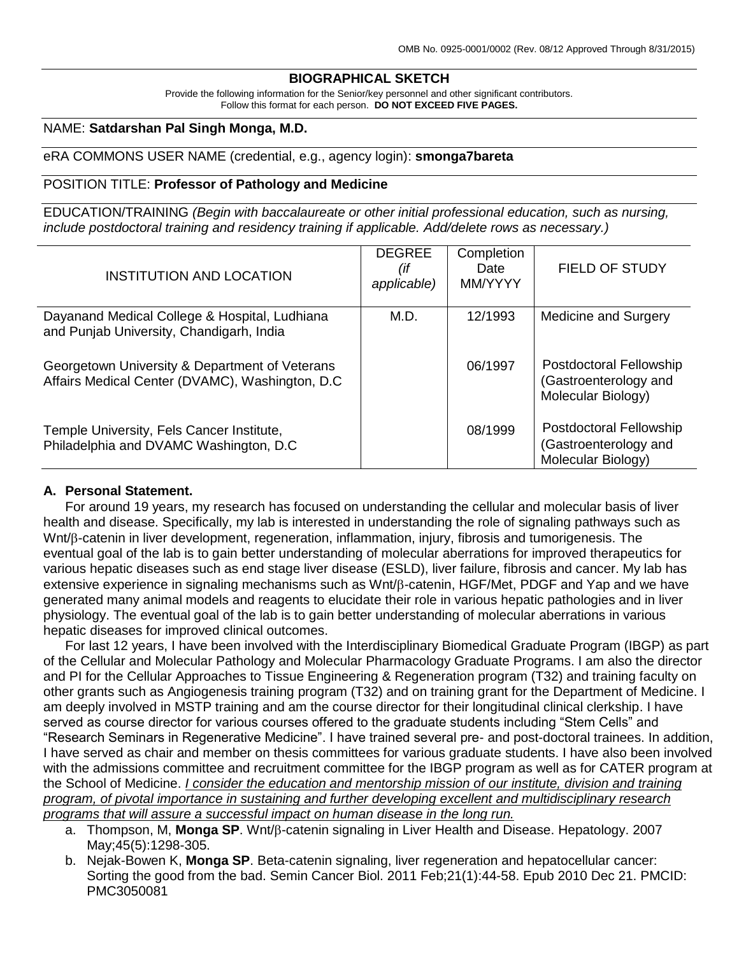### **BIOGRAPHICAL SKETCH**

Provide the following information for the Senior/key personnel and other significant contributors. Follow this format for each person. **DO NOT EXCEED FIVE PAGES.**

### NAME: **Satdarshan Pal Singh Monga, M.D.**

### eRA COMMONS USER NAME (credential, e.g., agency login): **smonga7bareta**

### POSITION TITLE: **Professor of Pathology and Medicine**

EDUCATION/TRAINING *(Begin with baccalaureate or other initial professional education, such as nursing, include postdoctoral training and residency training if applicable. Add/delete rows as necessary.)*

| <b>INSTITUTION AND LOCATION</b>                                                                    | <b>DEGREE</b><br>(if<br>applicable) | Completion<br>Date<br>MM/YYYY | <b>FIELD OF STUDY</b>                                                         |
|----------------------------------------------------------------------------------------------------|-------------------------------------|-------------------------------|-------------------------------------------------------------------------------|
| Dayanand Medical College & Hospital, Ludhiana<br>and Punjab University, Chandigarh, India          | M.D.                                | 12/1993                       | Medicine and Surgery                                                          |
| Georgetown University & Department of Veterans<br>Affairs Medical Center (DVAMC), Washington, D.C. |                                     | 06/1997                       | <b>Postdoctoral Fellowship</b><br>(Gastroenterology and<br>Molecular Biology) |
| Temple University, Fels Cancer Institute,<br>Philadelphia and DVAMC Washington, D.C.               |                                     | 08/1999                       | <b>Postdoctoral Fellowship</b><br>(Gastroenterology and<br>Molecular Biology) |

### **A. Personal Statement.**

For around 19 years, my research has focused on understanding the cellular and molecular basis of liver health and disease. Specifically, my lab is interested in understanding the role of signaling pathways such as Wnt/ $\beta$ -catenin in liver development, regeneration, inflammation, injury, fibrosis and tumorigenesis. The eventual goal of the lab is to gain better understanding of molecular aberrations for improved therapeutics for various hepatic diseases such as end stage liver disease (ESLD), liver failure, fibrosis and cancer. My lab has extensive experience in signaling mechanisms such as  $Wnt/\beta$ -catenin, HGF/Met, PDGF and Yap and we have generated many animal models and reagents to elucidate their role in various hepatic pathologies and in liver physiology. The eventual goal of the lab is to gain better understanding of molecular aberrations in various hepatic diseases for improved clinical outcomes.

For last 12 years, I have been involved with the Interdisciplinary Biomedical Graduate Program (IBGP) as part of the Cellular and Molecular Pathology and Molecular Pharmacology Graduate Programs. I am also the director and PI for the Cellular Approaches to Tissue Engineering & Regeneration program (T32) and training faculty on other grants such as Angiogenesis training program (T32) and on training grant for the Department of Medicine. I am deeply involved in MSTP training and am the course director for their longitudinal clinical clerkship. I have served as course director for various courses offered to the graduate students including "Stem Cells" and "Research Seminars in Regenerative Medicine". I have trained several pre- and post-doctoral trainees. In addition, I have served as chair and member on thesis committees for various graduate students. I have also been involved with the admissions committee and recruitment committee for the IBGP program as well as for CATER program at the School of Medicine. *I consider the education and mentorship mission of our institute, division and training program, of pivotal importance in sustaining and further developing excellent and multidisciplinary research programs that will assure a successful impact on human disease in the long run.*

- a. Thompson, M, **Monga SP**. Wnt/ $\beta$ -catenin signaling in Liver Health and Disease. Hepatology. 2007 May;45(5):1298-305.
- b. Nejak-Bowen K, **Monga SP**. Beta-catenin signaling, liver regeneration and hepatocellular cancer: Sorting the good from the bad. Semin Cancer Biol. 2011 Feb;21(1):44-58. Epub 2010 Dec 21. PMCID: PMC3050081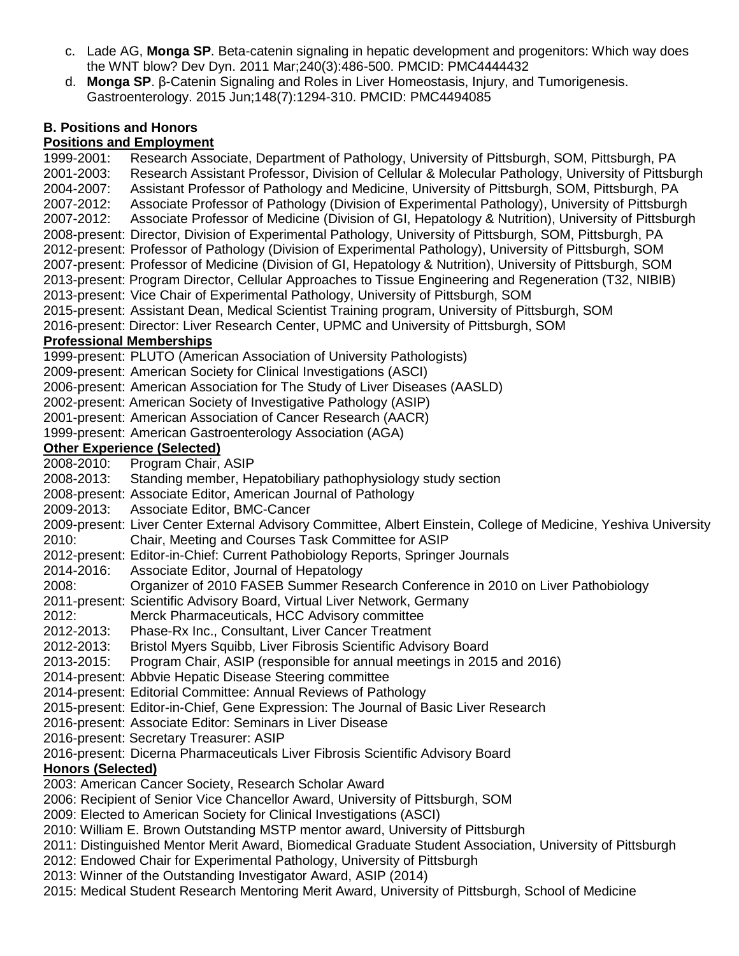- c. Lade AG, **Monga SP**. Beta-catenin signaling in hepatic development and progenitors: Which way does the WNT blow? Dev Dyn. 2011 Mar;240(3):486-500. PMCID: PMC4444432
- d. **Monga SP**. β-Catenin Signaling and Roles in Liver Homeostasis, Injury, and Tumorigenesis. Gastroenterology. 2015 Jun;148(7):1294-310. PMCID: PMC4494085

### **B. Positions and Honors**

### **Positions and Employment**

1999-2001: Research Associate, Department of Pathology, University of Pittsburgh, SOM, Pittsburgh, PA 2001-2003: Research Assistant Professor, Division of Cellular & Molecular Pathology, University of Pittsburgh 2004-2007: Assistant Professor of Pathology and Medicine, University of Pittsburgh, SOM, Pittsburgh, PA 2007-2012: Associate Professor of Pathology (Division of Experimental Pathology), University of Pittsburgh<br>2007-2012: Associate Professor of Medicine (Division of GI, Hepatology & Nutrition), University of Pittsburgl Associate Professor of Medicine (Division of GI, Hepatology & Nutrition), University of Pittsburgh 2008-present: Director, Division of Experimental Pathology, University of Pittsburgh, SOM, Pittsburgh, PA 2012-present: Professor of Pathology (Division of Experimental Pathology), University of Pittsburgh, SOM 2007-present: Professor of Medicine (Division of GI, Hepatology & Nutrition), University of Pittsburgh, SOM 2013-present: Program Director, Cellular Approaches to Tissue Engineering and Regeneration (T32, NIBIB) 2013-present: Vice Chair of Experimental Pathology, University of Pittsburgh, SOM 2015-present: Assistant Dean, Medical Scientist Training program, University of Pittsburgh, SOM 2016-present: Director: Liver Research Center, UPMC and University of Pittsburgh, SOM **Professional Memberships** 1999-present: PLUTO (American Association of University Pathologists) 2009-present: American Society for Clinical Investigations (ASCI) 2006-present: American Association for The Study of Liver Diseases (AASLD) 2002-present: American Society of Investigative Pathology (ASIP) 2001-present: American Association of Cancer Research (AACR) 1999-present: American Gastroenterology Association (AGA) **Other Experience (Selected)** 2008-2010: Program Chair, ASIP 2008-2013: Standing member, Hepatobiliary pathophysiology study section 2008-present: Associate Editor, American Journal of Pathology 2009-2013: Associate Editor, BMC-Cancer 2009-present: Liver Center External Advisory Committee, Albert Einstein, College of Medicine, Yeshiva University 2010: Chair, Meeting and Courses Task Committee for ASIP 2012-present: Editor-in-Chief: Current Pathobiology Reports, Springer Journals 2014-2016: Associate Editor, Journal of Hepatology 2008: Organizer of 2010 FASEB Summer Research Conference in 2010 on Liver Pathobiology 2011-present: Scientific Advisory Board, Virtual Liver Network, Germany 2012: Merck Pharmaceuticals, HCC Advisory committee 2012-2013: Phase-Rx Inc., Consultant, Liver Cancer Treatment 2012-2013: Bristol Myers Squibb, Liver Fibrosis Scientific Advisory Board 2013-2015: Program Chair, ASIP (responsible for annual meetings in 2015 and 2016) 2014-present: Abbvie Hepatic Disease Steering committee 2014-present: Editorial Committee: Annual Reviews of Pathology 2015-present: Editor-in-Chief, Gene Expression: The Journal of Basic Liver Research 2016-present: Associate Editor: Seminars in Liver Disease 2016-present: Secretary Treasurer: ASIP 2016-present: Dicerna Pharmaceuticals Liver Fibrosis Scientific Advisory Board **Honors (Selected)** 2003: American Cancer Society, Research Scholar Award 2006: Recipient of Senior Vice Chancellor Award, University of Pittsburgh, SOM 2009: Elected to American Society for Clinical Investigations (ASCI) 2010: William E. Brown Outstanding MSTP mentor award, University of Pittsburgh 2011: Distinguished Mentor Merit Award, Biomedical Graduate Student Association, University of Pittsburgh

- 2012: Endowed Chair for Experimental Pathology, University of Pittsburgh
- 2013: Winner of the Outstanding Investigator Award, ASIP (2014)
- 2015: Medical Student Research Mentoring Merit Award, University of Pittsburgh, School of Medicine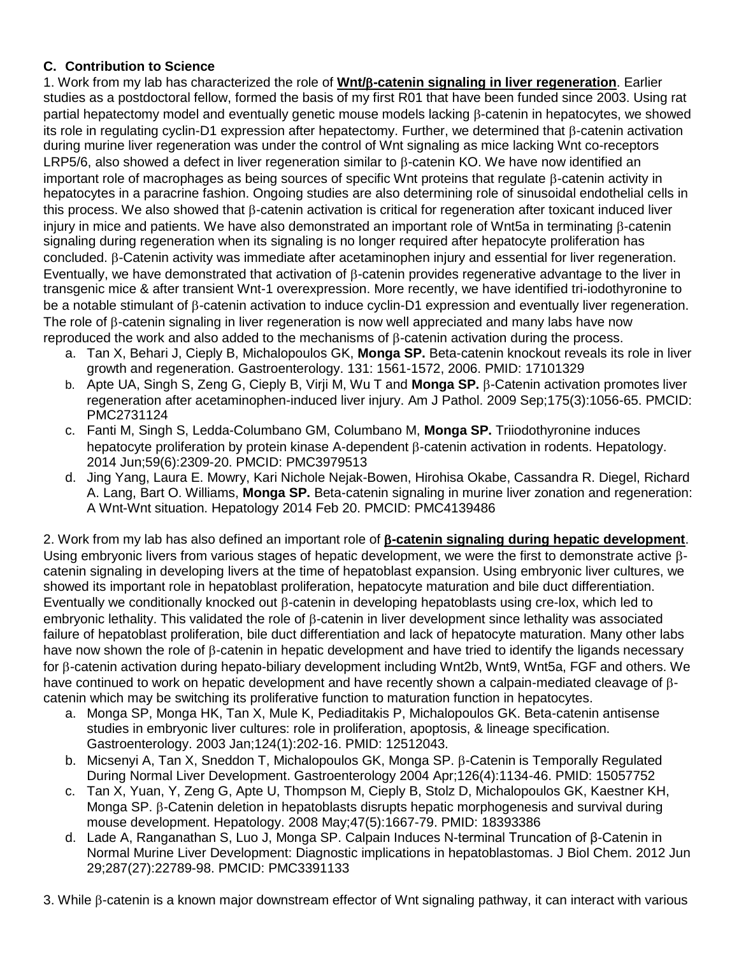## **C. Contribution to Science**

1. Work from my lab has characterized the role of **Wnt/-catenin signaling in liver regeneration**. Earlier studies as a postdoctoral fellow, formed the basis of my first R01 that have been funded since 2003. Using rat partial hepatectomy model and eventually genetic mouse models lacking  $\beta$ -catenin in hepatocytes, we showed its role in regulating cyclin-D1 expression after hepatectomy. Further, we determined that  $\beta$ -catenin activation during murine liver regeneration was under the control of Wnt signaling as mice lacking Wnt co-receptors LRP5/6, also showed a defect in liver regeneration similar to B-catenin KO. We have now identified an important role of macrophages as being sources of specific Wnt proteins that regulate B-catenin activity in hepatocytes in a paracrine fashion. Ongoing studies are also determining role of sinusoidal endothelial cells in this process. We also showed that  $\beta$ -catenin activation is critical for regeneration after toxicant induced liver injury in mice and patients. We have also demonstrated an important role of Wnt5a in terminating  $\beta$ -catenin signaling during regeneration when its signaling is no longer required after hepatocyte proliferation has  $\alpha$ concluded.  $\beta$ -Catenin activity was immediate after acetaminophen injury and essential for liver regeneration. Eventually, we have demonstrated that activation of  $\beta$ -catenin provides regenerative advantage to the liver in transgenic mice & after transient Wnt-1 overexpression. More recently, we have identified tri-iodothyronine to be a notable stimulant of  $\beta$ -catenin activation to induce cyclin-D1 expression and eventually liver regeneration. The role of  $\beta$ -catenin signaling in liver regeneration is now well appreciated and many labs have now reproduced the work and also added to the mechanisms of  $\beta$ -catenin activation during the process.

- a. Tan X, Behari J, Cieply B, Michalopoulos GK, **Monga SP.** Beta-catenin knockout reveals its role in liver growth and regeneration. Gastroenterology. 131: 1561-1572, 2006. PMID: 17101329
- b. Apte UA, Singh S, Zeng G, Cieply B, Virji M, Wu T and **Monga SP.** β-Catenin activation promotes liver regeneration after acetaminophen-induced liver injury. Am J Pathol. 2009 Sep;175(3):1056-65. PMCID: PMC2731124
- c. Fanti M, Singh S, Ledda-Columbano GM, Columbano M, **Monga SP.** Triiodothyronine induces hepatocyte proliferation by protein kinase A-dependent B-catenin activation in rodents. Hepatology. 2014 Jun;59(6):2309-20. PMCID: PMC3979513
- d. Jing Yang, Laura E. Mowry, Kari Nichole Nejak-Bowen, Hirohisa Okabe, Cassandra R. Diegel, Richard A. Lang, Bart O. Williams, **Monga SP.** Beta-catenin signaling in murine liver zonation and regeneration: A Wnt-Wnt situation. Hepatology 2014 Feb 20. PMCID: PMC4139486

2. Work from my lab has also defined an important role of  $\beta$ -catenin signaling during hepatic development. Using embryonic livers from various stages of hepatic development, we were the first to demonstrate active  $\beta$ catenin signaling in developing livers at the time of hepatoblast expansion. Using embryonic liver cultures, we showed its important role in hepatoblast proliferation, hepatocyte maturation and bile duct differentiation. Eventually we conditionally knocked out  $\beta$ -catenin in developing hepatoblasts using cre-lox, which led to embryonic lethality. This validated the role of  $\beta$ -catenin in liver development since lethality was associated failure of hepatoblast proliferation, bile duct differentiation and lack of hepatocyte maturation. Many other labs have now shown the role of  $\beta$ -catenin in hepatic development and have tried to identify the ligands necessary for  $\beta$ -catenin activation during hepato-biliary development including Wnt2b, Wnt9, Wnt5a, FGF and others. We have continued to work on hepatic development and have recently shown a calpain-mediated cleavage of  $\beta$ catenin which may be switching its proliferative function to maturation function in hepatocytes.

- a. Monga SP, Monga HK, Tan X, Mule K, Pediaditakis P, Michalopoulos GK. Beta-catenin antisense studies in embryonic liver cultures: role in proliferation, apoptosis, & lineage specification. Gastroenterology. 2003 Jan;124(1):202-16. PMID: 12512043.
- b. Micsenyi A, Tan X, Sneddon T, Michalopoulos GK, Monga SP.  $\beta$ -Catenin is Temporally Regulated During Normal Liver Development. Gastroenterology 2004 Apr;126(4):1134-46. PMID: 15057752
- c. Tan X, Yuan, Y, Zeng G, Apte U, Thompson M, Cieply B, Stolz D, Michalopoulos GK, Kaestner KH, Monga SP.  $\beta$ -Catenin deletion in hepatoblasts disrupts hepatic morphogenesis and survival during mouse development. Hepatology. 2008 May;47(5):1667-79. PMID: 18393386
- d. Lade A, Ranganathan S, Luo J, Monga SP. Calpain Induces N-terminal Truncation of β-Catenin in Normal Murine Liver Development: Diagnostic implications in hepatoblastomas. J Biol Chem. 2012 Jun 29;287(27):22789-98. PMCID: PMC3391133

3. While  $\beta$ -catenin is a known major downstream effector of Wnt signaling pathway, it can interact with various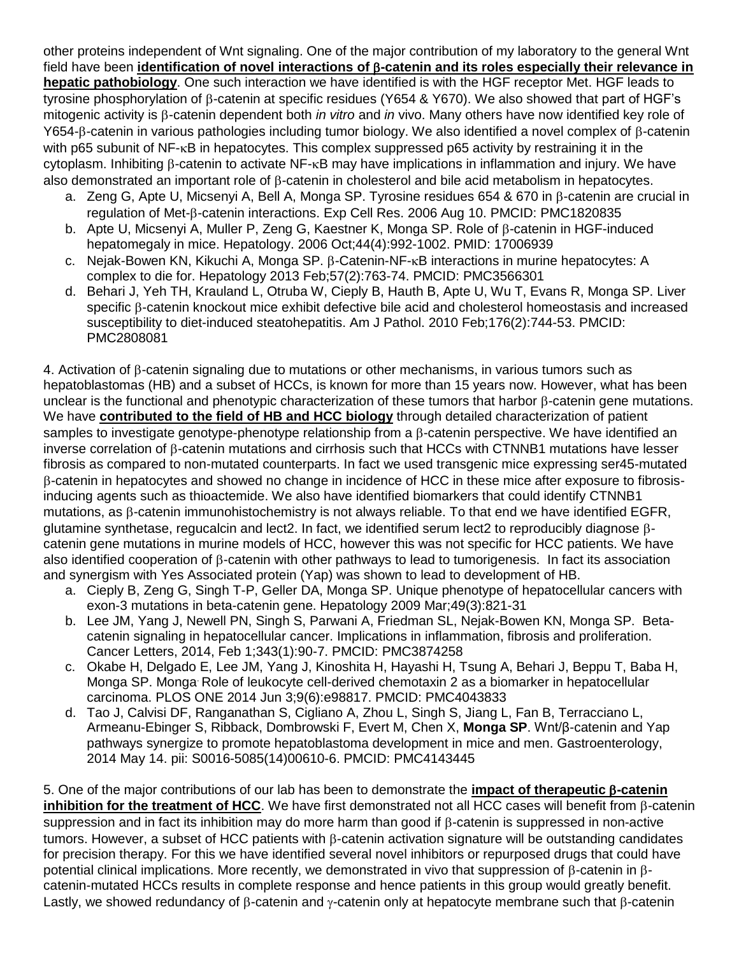other proteins independent of Wnt signaling. One of the major contribution of my laboratory to the general Wnt field have been identification of novel interactions of **B-catenin and its roles especially their relevance in hepatic pathobiology**. One such interaction we have identified is with the HGF receptor Met. HGF leads to tyrosine phosphorylation of  $\beta$ -catenin at specific residues (Y654 & Y670). We also showed that part of HGF's mitogenic activity is B-catenin dependent both *in vitro* and *in* vivo. Many others have now identified key role of Y654- $\beta$ -catenin in various pathologies including tumor biology. We also identified a novel complex of  $\beta$ -catenin with p65 subunit of  $NF$ - $\kappa$ B in hepatocytes. This complex suppressed p65 activity by restraining it in the  $cv$ toplasm. Inhibiting  $\beta$ -catenin to activate NF- $\kappa$ B may have implications in inflammation and injury. We have also demonstrated an important role of  $\beta$ -catenin in cholesterol and bile acid metabolism in hepatocytes.

- a. Zeng G, Apte U, Micsenyi A, Bell A, Monga SP. Tyrosine residues 654 & 670 in B-catenin are crucial in regulation of Met- $\beta$ -catenin interactions. Exp Cell Res. 2006 Aug 10. PMCID: PMC1820835
- b. Apte U, Micsenyi A, Muller P, Zeng G, Kaestner K, Monga SP, Role of B-catenin in HGF-induced hepatomegaly in mice. Hepatology. 2006 Oct;44(4):992-1002. PMID: 17006939
- c. Nejak-Bowen KN, Kikuchi A, Monga SP, B-Catenin-NF-<sub>K</sub>B interactions in murine hepatocytes: A complex to die for. Hepatology 2013 Feb;57(2):763-74. PMCID: PMC3566301
- d. Behari J, Yeh TH, Krauland L, Otruba W, Cieply B, Hauth B, Apte U, Wu T, Evans R, Monga SP. Liver specific B-catenin knockout mice exhibit defective bile acid and cholesterol homeostasis and increased susceptibility to diet-induced steatohepatitis. Am J Pathol. 2010 Feb;176(2):744-53. PMCID: PMC2808081

4. Activation of B-catenin signaling due to mutations or other mechanisms, in various tumors such as hepatoblastomas (HB) and a subset of HCCs, is known for more than 15 years now. However, what has been unclear is the functional and phenotypic characterization of these tumors that harbor B-catenin gene mutations. We have **contributed to the field of HB and HCC biology** through detailed characterization of patient samples to investigate genotype-phenotype relationship from a  $\beta$ -catenin perspective. We have identified an inverse correlation of  $\beta$ -catenin mutations and cirrhosis such that HCCs with CTNNB1 mutations have lesser fibrosis as compared to non-mutated counterparts. In fact we used transgenic mice expressing ser45-mutated -catenin in hepatocytes and showed no change in incidence of HCC in these mice after exposure to fibrosisinducing agents such as thioactemide. We also have identified biomarkers that could identify CTNNB1 mutations, as  $\beta$ -catenin immunohistochemistry is not always reliable. To that end we have identified EGFR, glutamine synthetase, regucalcin and lect2. In fact, we identified serum lect2 to reproducibly diagnose  $\beta$ catenin gene mutations in murine models of HCC, however this was not specific for HCC patients. We have also identified cooperation of  $\beta$ -catenin with other pathways to lead to tumorigenesis. In fact its association and synergism with Yes Associated protein (Yap) was shown to lead to development of HB.

- a. Cieply B, Zeng G, Singh T-P, Geller DA, Monga SP. Unique phenotype of hepatocellular cancers with exon-3 mutations in beta-catenin gene. Hepatology 2009 Mar;49(3):821-31
- b. Lee JM, Yang J, Newell PN, Singh S, Parwani A, Friedman SL, Nejak-Bowen KN, Monga SP. Betacatenin signaling in hepatocellular cancer. Implications in inflammation, fibrosis and proliferation. Cancer Letters, 2014, Feb 1;343(1):90-7. PMCID: PMC3874258
- c. Okabe H, Delgado E, Lee JM, Yang J, Kinoshita H, Hayashi H, Tsung A, Behari J, Beppu T, Baba H, Monga SP. Monga. Role of leukocyte cell-derived chemotaxin 2 as a biomarker in hepatocellular carcinoma. PLOS ONE 2014 Jun 3;9(6):e98817. PMCID: PMC4043833
- d. Tao J, Calvisi DF, Ranganathan S, Cigliano A, Zhou L, Singh S, Jiang L, Fan B, Terracciano L, Armeanu-Ebinger S, Ribback, Dombrowski F, Evert M, Chen X, **Monga SP**. Wnt/β-catenin and Yap pathways synergize to promote hepatoblastoma development in mice and men. Gastroenterology, 2014 May 14. pii: S0016-5085(14)00610-6. PMCID: PMC4143445

5. One of the major contributions of our lab has been to demonstrate the **impact of therapeutic -catenin inhibition for the treatment of HCC**. We have first demonstrated not all HCC cases will benefit from B-catenin suppression and in fact its inhibition may do more harm than good if  $\beta$ -catenin is suppressed in non-active tumors. However, a subset of HCC patients with B-catenin activation signature will be outstanding candidates for precision therapy. For this we have identified several novel inhibitors or repurposed drugs that could have potential clinical implications. More recently, we demonstrated in vivo that suppression of  $\beta$ -catenin in  $\beta$ catenin-mutated HCCs results in complete response and hence patients in this group would greatly benefit. Lastly, we showed redundancy of  $\beta$ -catenin and  $\gamma$ -catenin only at hepatocyte membrane such that  $\beta$ -catenin